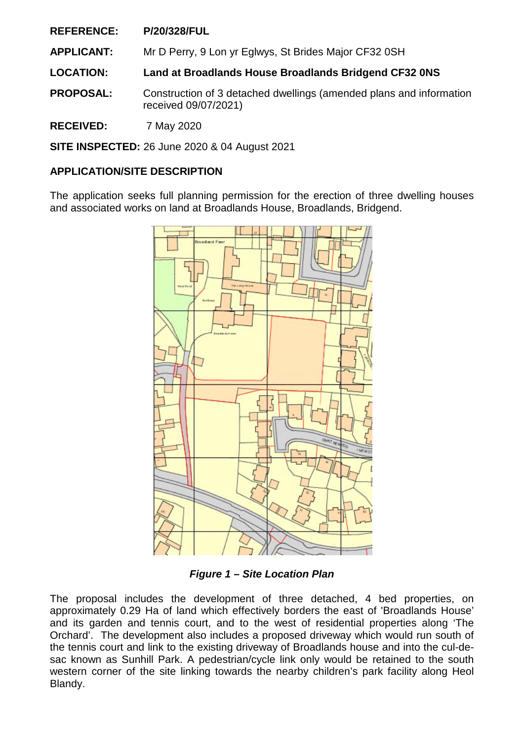**REFERENCE: P/20/328/FUL**

**APPLICANT:** Mr D Perry, 9 Lon yr Eglwys, St Brides Major CF32 0SH

**LOCATION: Land at Broadlands House Broadlands Bridgend CF32 0NS** 

**PROPOSAL:** Construction of 3 detached dwellings (amended plans and information received 09/07/2021)

**RECEIVED:** 7 May 2020

**SITE INSPECTED:** 26 June 2020 & 04 August 2021

# **APPLICATION/SITE DESCRIPTION**

The application seeks full planning permission for the erection of three dwelling houses and associated works on land at Broadlands House, Broadlands, Bridgend.



*Figure 1 – Site Location Plan* 

The proposal includes the development of three detached, 4 bed properties, on approximately 0.29 Ha of land which effectively borders the east of 'Broadlands House' and its garden and tennis court, and to the west of residential properties along 'The Orchard'. The development also includes a proposed driveway which would run south of the tennis court and link to the existing driveway of Broadlands house and into the cul-desac known as Sunhill Park. A pedestrian/cycle link only would be retained to the south western corner of the site linking towards the nearby children's park facility along Heol Blandy.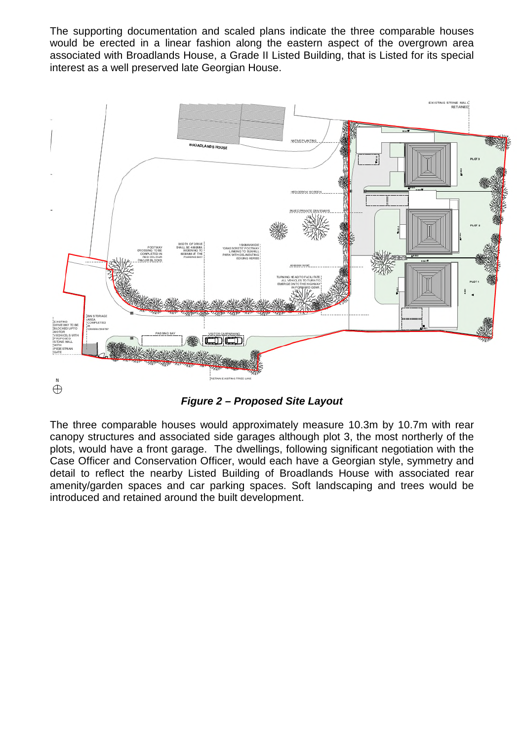The supporting documentation and scaled plans indicate the three comparable houses would be erected in a linear fashion along the eastern aspect of the overgrown area associated with Broadlands House, a Grade II Listed Building, that is Listed for its special interest as a well preserved late Georgian House.



*Figure 2 – Proposed Site Layout* 

The three comparable houses would approximately measure 10.3m by 10.7m with rear canopy structures and associated side garages although plot 3, the most northerly of the plots, would have a front garage. The dwellings, following significant negotiation with the Case Officer and Conservation Officer, would each have a Georgian style, symmetry and detail to reflect the nearby Listed Building of Broadlands House with associated rear amenity/garden spaces and car parking spaces. Soft landscaping and trees would be introduced and retained around the built development.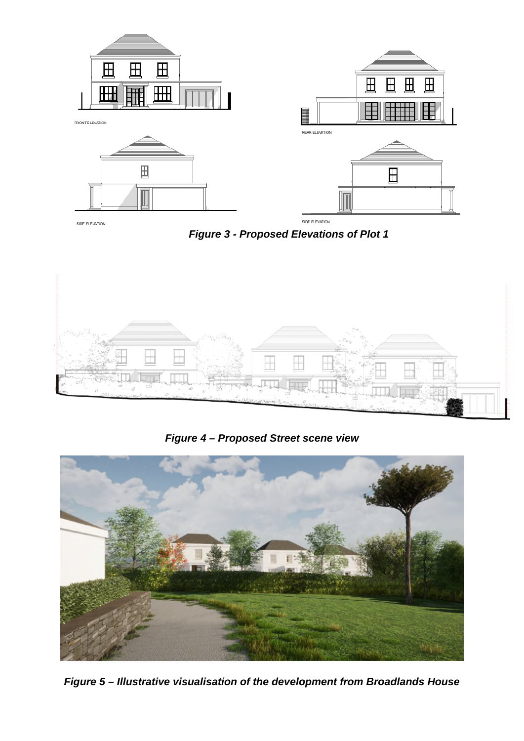

SIDE ELEVATION

*Figure 3 - Proposed Elevations of Plot 1* 



*Figure 4 – Proposed Street scene view* 



*Figure 5 – Illustrative visualisation of the development from Broadlands House*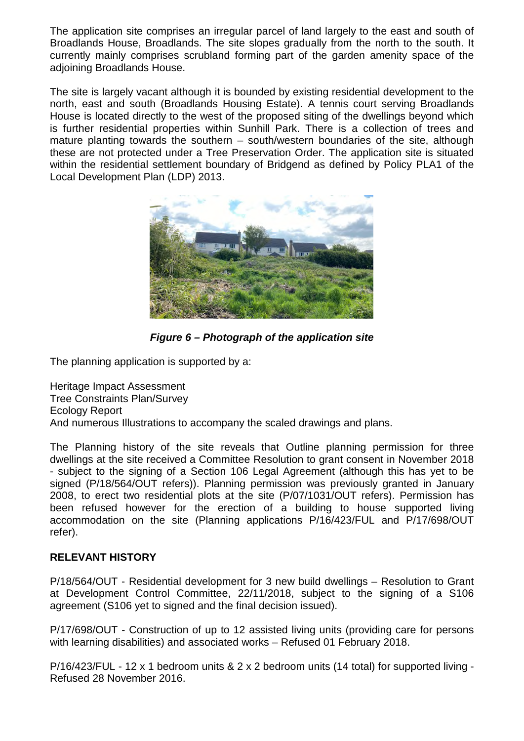The application site comprises an irregular parcel of land largely to the east and south of Broadlands House, Broadlands. The site slopes gradually from the north to the south. It currently mainly comprises scrubland forming part of the garden amenity space of the adjoining Broadlands House.

The site is largely vacant although it is bounded by existing residential development to the north, east and south (Broadlands Housing Estate). A tennis court serving Broadlands House is located directly to the west of the proposed siting of the dwellings beyond which is further residential properties within Sunhill Park. There is a collection of trees and mature planting towards the southern – south/western boundaries of the site, although these are not protected under a Tree Preservation Order. The application site is situated within the residential settlement boundary of Bridgend as defined by Policy PLA1 of the Local Development Plan (LDP) 2013.



*Figure 6 – Photograph of the application site* 

The planning application is supported by a:

Heritage Impact Assessment Tree Constraints Plan/Survey Ecology Report And numerous Illustrations to accompany the scaled drawings and plans.

The Planning history of the site reveals that Outline planning permission for three dwellings at the site received a Committee Resolution to grant consent in November 2018 - subject to the signing of a Section 106 Legal Agreement (although this has yet to be signed (P/18/564/OUT refers)). Planning permission was previously granted in January 2008, to erect two residential plots at the site (P/07/1031/OUT refers). Permission has been refused however for the erection of a building to house supported living accommodation on the site (Planning applications P/16/423/FUL and P/17/698/OUT refer).

# **RELEVANT HISTORY**

P/18/564/OUT - Residential development for 3 new build dwellings – Resolution to Grant at Development Control Committee, 22/11/2018, subject to the signing of a S106 agreement (S106 yet to signed and the final decision issued).

P/17/698/OUT - Construction of up to 12 assisted living units (providing care for persons with learning disabilities) and associated works – Refused 01 February 2018.

P/16/423/FUL - 12 x 1 bedroom units & 2 x 2 bedroom units (14 total) for supported living - Refused 28 November 2016.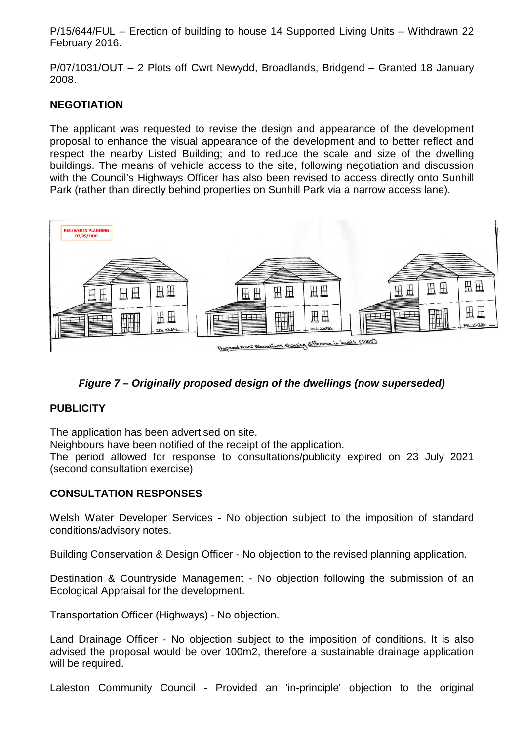P/15/644/FUL – Erection of building to house 14 Supported Living Units – Withdrawn 22 February 2016.

P/07/1031/OUT – 2 Plots off Cwrt Newydd, Broadlands, Bridgend – Granted 18 January 2008.

# **NEGOTIATION**

The applicant was requested to revise the design and appearance of the development proposal to enhance the visual appearance of the development and to better reflect and respect the nearby Listed Building; and to reduce the scale and size of the dwelling buildings. The means of vehicle access to the site, following negotiation and discussion with the Council's Highways Officer has also been revised to access directly onto Sunhill Park (rather than directly behind properties on Sunhill Park via a narrow access lane).



# *Figure 7 – Originally proposed design of the dwellings (now superseded)*

# **PUBLICITY**

The application has been advertised on site.

Neighbours have been notified of the receipt of the application.

The period allowed for response to consultations/publicity expired on 23 July 2021 (second consultation exercise)

# **CONSULTATION RESPONSES**

Welsh Water Developer Services - No objection subject to the imposition of standard conditions/advisory notes.

Building Conservation & Design Officer - No objection to the revised planning application.

Destination & Countryside Management - No objection following the submission of an Ecological Appraisal for the development.

Transportation Officer (Highways) - No objection.

Land Drainage Officer - No objection subject to the imposition of conditions. It is also advised the proposal would be over 100m2, therefore a sustainable drainage application will be required.

Laleston Community Council - Provided an 'in-principle' objection to the original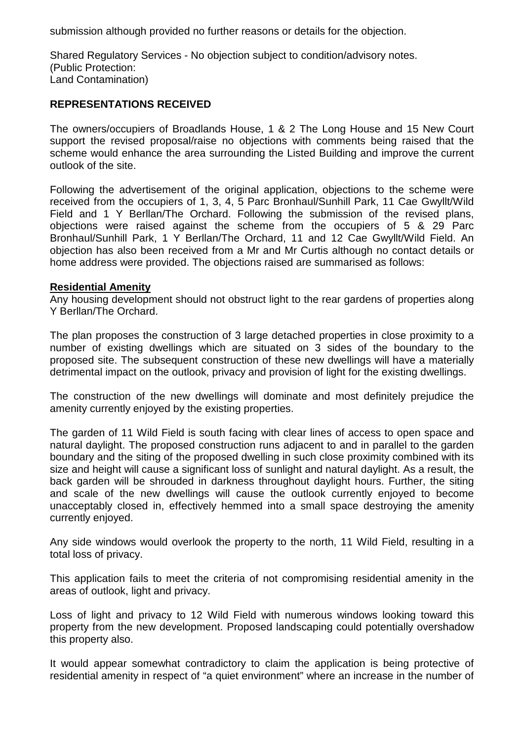submission although provided no further reasons or details for the objection.

Shared Regulatory Services - No objection subject to condition/advisory notes. (Public Protection: Land Contamination)

### **REPRESENTATIONS RECEIVED**

The owners/occupiers of Broadlands House, 1 & 2 The Long House and 15 New Court support the revised proposal/raise no objections with comments being raised that the scheme would enhance the area surrounding the Listed Building and improve the current outlook of the site.

Following the advertisement of the original application, objections to the scheme were received from the occupiers of 1, 3, 4, 5 Parc Bronhaul/Sunhill Park, 11 Cae Gwyllt/Wild Field and 1 Y Berllan/The Orchard. Following the submission of the revised plans, objections were raised against the scheme from the occupiers of 5 & 29 Parc Bronhaul/Sunhill Park, 1 Y Berllan/The Orchard, 11 and 12 Cae Gwyllt/Wild Field. An objection has also been received from a Mr and Mr Curtis although no contact details or home address were provided. The objections raised are summarised as follows:

#### **Residential Amenity**

Any housing development should not obstruct light to the rear gardens of properties along Y Berllan/The Orchard.

The plan proposes the construction of 3 large detached properties in close proximity to a number of existing dwellings which are situated on 3 sides of the boundary to the proposed site. The subsequent construction of these new dwellings will have a materially detrimental impact on the outlook, privacy and provision of light for the existing dwellings.

The construction of the new dwellings will dominate and most definitely prejudice the amenity currently enjoyed by the existing properties.

The garden of 11 Wild Field is south facing with clear lines of access to open space and natural daylight. The proposed construction runs adjacent to and in parallel to the garden boundary and the siting of the proposed dwelling in such close proximity combined with its size and height will cause a significant loss of sunlight and natural daylight. As a result, the back garden will be shrouded in darkness throughout daylight hours. Further, the siting and scale of the new dwellings will cause the outlook currently enjoyed to become unacceptably closed in, effectively hemmed into a small space destroying the amenity currently enjoyed.

Any side windows would overlook the property to the north, 11 Wild Field, resulting in a total loss of privacy.

This application fails to meet the criteria of not compromising residential amenity in the areas of outlook, light and privacy.

Loss of light and privacy to 12 Wild Field with numerous windows looking toward this property from the new development. Proposed landscaping could potentially overshadow this property also.

It would appear somewhat contradictory to claim the application is being protective of residential amenity in respect of "a quiet environment" where an increase in the number of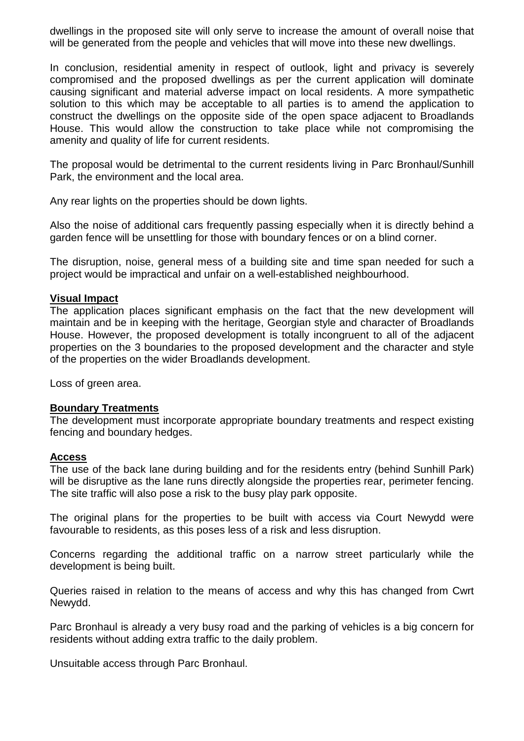dwellings in the proposed site will only serve to increase the amount of overall noise that will be generated from the people and vehicles that will move into these new dwellings.

In conclusion, residential amenity in respect of outlook, light and privacy is severely compromised and the proposed dwellings as per the current application will dominate causing significant and material adverse impact on local residents. A more sympathetic solution to this which may be acceptable to all parties is to amend the application to construct the dwellings on the opposite side of the open space adjacent to Broadlands House. This would allow the construction to take place while not compromising the amenity and quality of life for current residents.

The proposal would be detrimental to the current residents living in Parc Bronhaul/Sunhill Park, the environment and the local area.

Any rear lights on the properties should be down lights.

Also the noise of additional cars frequently passing especially when it is directly behind a garden fence will be unsettling for those with boundary fences or on a blind corner.

The disruption, noise, general mess of a building site and time span needed for such a project would be impractical and unfair on a well-established neighbourhood.

#### **Visual Impact**

The application places significant emphasis on the fact that the new development will maintain and be in keeping with the heritage, Georgian style and character of Broadlands House. However, the proposed development is totally incongruent to all of the adjacent properties on the 3 boundaries to the proposed development and the character and style of the properties on the wider Broadlands development.

Loss of green area.

#### **Boundary Treatments**

The development must incorporate appropriate boundary treatments and respect existing fencing and boundary hedges.

#### **Access**

The use of the back lane during building and for the residents entry (behind Sunhill Park) will be disruptive as the lane runs directly alongside the properties rear, perimeter fencing. The site traffic will also pose a risk to the busy play park opposite.

The original plans for the properties to be built with access via Court Newydd were favourable to residents, as this poses less of a risk and less disruption.

Concerns regarding the additional traffic on a narrow street particularly while the development is being built.

Queries raised in relation to the means of access and why this has changed from Cwrt Newydd.

Parc Bronhaul is already a very busy road and the parking of vehicles is a big concern for residents without adding extra traffic to the daily problem.

Unsuitable access through Parc Bronhaul.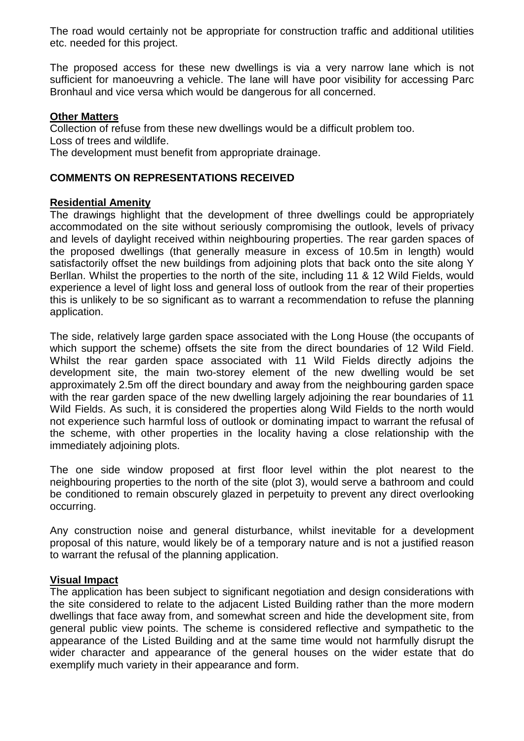The road would certainly not be appropriate for construction traffic and additional utilities etc. needed for this project.

The proposed access for these new dwellings is via a very narrow lane which is not sufficient for manoeuvring a vehicle. The lane will have poor visibility for accessing Parc Bronhaul and vice versa which would be dangerous for all concerned.

#### **Other Matters**

Collection of refuse from these new dwellings would be a difficult problem too. Loss of trees and wildlife. The development must benefit from appropriate drainage.

### **COMMENTS ON REPRESENTATIONS RECEIVED**

### **Residential Amenity**

The drawings highlight that the development of three dwellings could be appropriately accommodated on the site without seriously compromising the outlook, levels of privacy and levels of daylight received within neighbouring properties. The rear garden spaces of the proposed dwellings (that generally measure in excess of 10.5m in length) would satisfactorily offset the new buildings from adjoining plots that back onto the site along Y Berllan. Whilst the properties to the north of the site, including 11 & 12 Wild Fields, would experience a level of light loss and general loss of outlook from the rear of their properties this is unlikely to be so significant as to warrant a recommendation to refuse the planning application.

The side, relatively large garden space associated with the Long House (the occupants of which support the scheme) offsets the site from the direct boundaries of 12 Wild Field. Whilst the rear garden space associated with 11 Wild Fields directly adjoins the development site, the main two-storey element of the new dwelling would be set approximately 2.5m off the direct boundary and away from the neighbouring garden space with the rear garden space of the new dwelling largely adjoining the rear boundaries of 11 Wild Fields. As such, it is considered the properties along Wild Fields to the north would not experience such harmful loss of outlook or dominating impact to warrant the refusal of the scheme, with other properties in the locality having a close relationship with the immediately adjoining plots.

The one side window proposed at first floor level within the plot nearest to the neighbouring properties to the north of the site (plot 3), would serve a bathroom and could be conditioned to remain obscurely glazed in perpetuity to prevent any direct overlooking occurring.

Any construction noise and general disturbance, whilst inevitable for a development proposal of this nature, would likely be of a temporary nature and is not a justified reason to warrant the refusal of the planning application.

#### **Visual Impact**

The application has been subject to significant negotiation and design considerations with the site considered to relate to the adjacent Listed Building rather than the more modern dwellings that face away from, and somewhat screen and hide the development site, from general public view points. The scheme is considered reflective and sympathetic to the appearance of the Listed Building and at the same time would not harmfully disrupt the wider character and appearance of the general houses on the wider estate that do exemplify much variety in their appearance and form.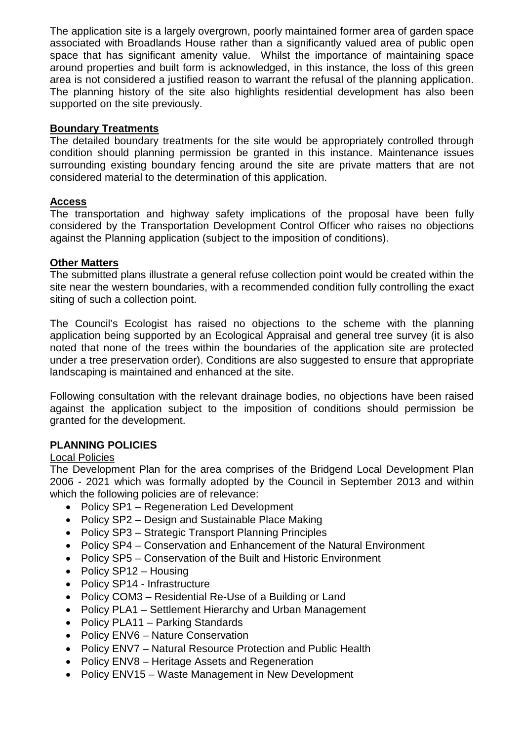The application site is a largely overgrown, poorly maintained former area of garden space associated with Broadlands House rather than a significantly valued area of public open space that has significant amenity value. Whilst the importance of maintaining space around properties and built form is acknowledged, in this instance, the loss of this green area is not considered a justified reason to warrant the refusal of the planning application. The planning history of the site also highlights residential development has also been supported on the site previously.

### **Boundary Treatments**

The detailed boundary treatments for the site would be appropriately controlled through condition should planning permission be granted in this instance. Maintenance issues surrounding existing boundary fencing around the site are private matters that are not considered material to the determination of this application.

# **Access**

The transportation and highway safety implications of the proposal have been fully considered by the Transportation Development Control Officer who raises no objections against the Planning application (subject to the imposition of conditions).

### **Other Matters**

The submitted plans illustrate a general refuse collection point would be created within the site near the western boundaries, with a recommended condition fully controlling the exact siting of such a collection point.

The Council's Ecologist has raised no objections to the scheme with the planning application being supported by an Ecological Appraisal and general tree survey (it is also noted that none of the trees within the boundaries of the application site are protected under a tree preservation order). Conditions are also suggested to ensure that appropriate landscaping is maintained and enhanced at the site.

Following consultation with the relevant drainage bodies, no objections have been raised against the application subject to the imposition of conditions should permission be granted for the development.

# **PLANNING POLICIES**

### Local Policies

The Development Plan for the area comprises of the Bridgend Local Development Plan 2006 - 2021 which was formally adopted by the Council in September 2013 and within which the following policies are of relevance:

- Policy SP1 Regeneration Led Development
- Policy SP2 Design and Sustainable Place Making
- Policy SP3 Strategic Transport Planning Principles
- Policy SP4 Conservation and Enhancement of the Natural Environment
- Policy SP5 Conservation of the Built and Historic Environment
- Policy SP12 Housing
- Policy SP14 Infrastructure
- Policy COM3 Residential Re-Use of a Building or Land
- Policy PLA1 Settlement Hierarchy and Urban Management
- Policy PLA11 Parking Standards
- Policy ENV6 Nature Conservation
- Policy ENV7 Natural Resource Protection and Public Health
- Policy ENV8 Heritage Assets and Regeneration
- Policy ENV15 Waste Management in New Development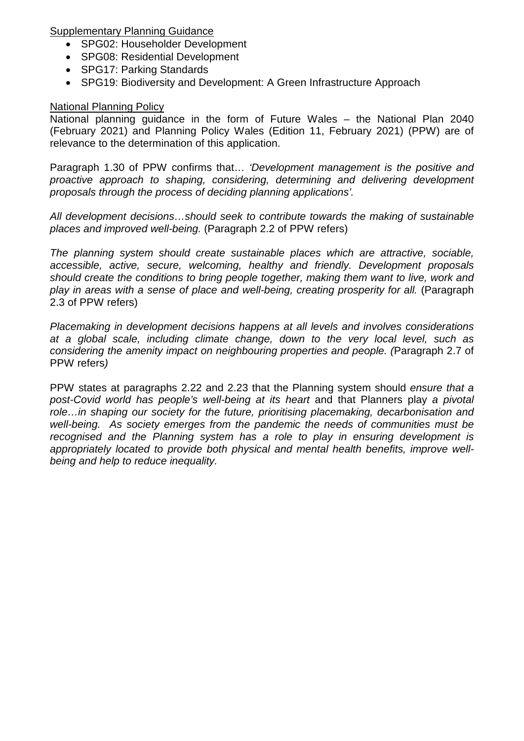Supplementary Planning Guidance

- SPG02: Householder Development
- SPG08: Residential Development
- SPG17: Parking Standards
- SPG19: Biodiversity and Development: A Green Infrastructure Approach

# National Planning Policy

National planning guidance in the form of Future Wales – the National Plan 2040 (February 2021) and Planning Policy Wales (Edition 11, February 2021) (PPW) are of relevance to the determination of this application.

Paragraph 1.30 of PPW confirms that… *'Development management is the positive and proactive approach to shaping, considering, determining and delivering development proposals through the process of deciding planning applications'.*

*All development decisions…should seek to contribute towards the making of sustainable places and improved well-being.* (Paragraph 2.2 of PPW refers)

*The planning system should create sustainable places which are attractive, sociable, accessible, active, secure, welcoming, healthy and friendly. Development proposals should create the conditions to bring people together, making them want to live, work and*  play in areas with a sense of place and well-being, creating prosperity for all. (Paragraph 2.3 of PPW refers)

*Placemaking in development decisions happens at all levels and involves considerations at a global scale, including climate change, down to the very local level, such as considering the amenity impact on neighbouring properties and people. (*Paragraph 2.7 of PPW refers*)* 

PPW states at paragraphs 2.22 and 2.23 that the Planning system should *ensure that a post-Covid world has people's well-being at its heart* and that Planners play *a pivotal role…in shaping our society for the future, prioritising placemaking, decarbonisation and well-being. As society emerges from the pandemic the needs of communities must be recognised and the Planning system has a role to play in ensuring development is appropriately located to provide both physical and mental health benefits, improve wellbeing and help to reduce inequality.*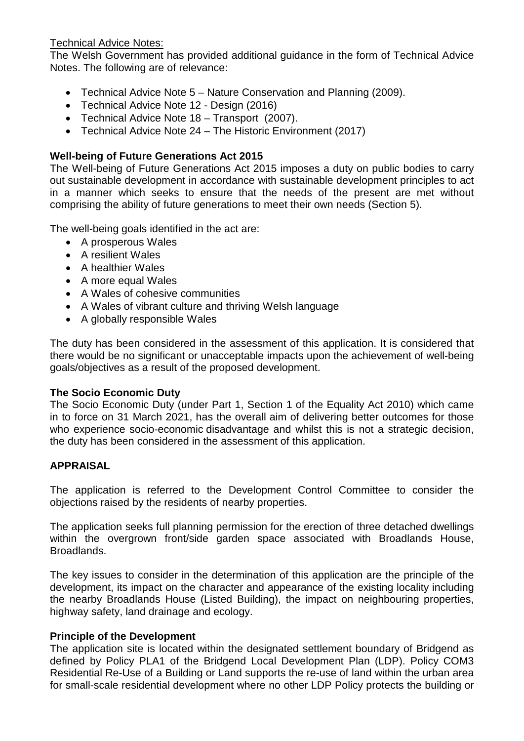# Technical Advice Notes:

The Welsh Government has provided additional guidance in the form of Technical Advice Notes. The following are of relevance:

- Technical Advice Note 5 Nature Conservation and Planning (2009).
- Technical Advice Note 12 Design (2016)
- Technical Advice Note 18 Transport (2007).
- Technical Advice Note 24 The Historic Environment (2017)

# **Well-being of Future Generations Act 2015**

The Well-being of Future Generations Act 2015 imposes a duty on public bodies to carry out sustainable development in accordance with sustainable development principles to act in a manner which seeks to ensure that the needs of the present are met without comprising the ability of future generations to meet their own needs (Section 5).

The well-being goals identified in the act are:

- A prosperous Wales
- A resilient Wales
- A healthier Wales
- A more equal Wales
- A Wales of cohesive communities
- A Wales of vibrant culture and thriving Welsh language
- A globally responsible Wales

The duty has been considered in the assessment of this application. It is considered that there would be no significant or unacceptable impacts upon the achievement of well-being goals/objectives as a result of the proposed development.

### **The Socio Economic Duty**

The Socio Economic Duty (under Part 1, Section 1 of the Equality Act 2010) which came in to force on 31 March 2021, has the overall aim of delivering better outcomes for those who experience socio-economic disadvantage and whilst this is not a strategic decision. the duty has been considered in the assessment of this application.

### **APPRAISAL**

The application is referred to the Development Control Committee to consider the objections raised by the residents of nearby properties.

The application seeks full planning permission for the erection of three detached dwellings within the overgrown front/side garden space associated with Broadlands House, Broadlands.

The key issues to consider in the determination of this application are the principle of the development, its impact on the character and appearance of the existing locality including the nearby Broadlands House (Listed Building), the impact on neighbouring properties, highway safety, land drainage and ecology.

### **Principle of the Development**

The application site is located within the designated settlement boundary of Bridgend as defined by Policy PLA1 of the Bridgend Local Development Plan (LDP). Policy COM3 Residential Re-Use of a Building or Land supports the re-use of land within the urban area for small-scale residential development where no other LDP Policy protects the building or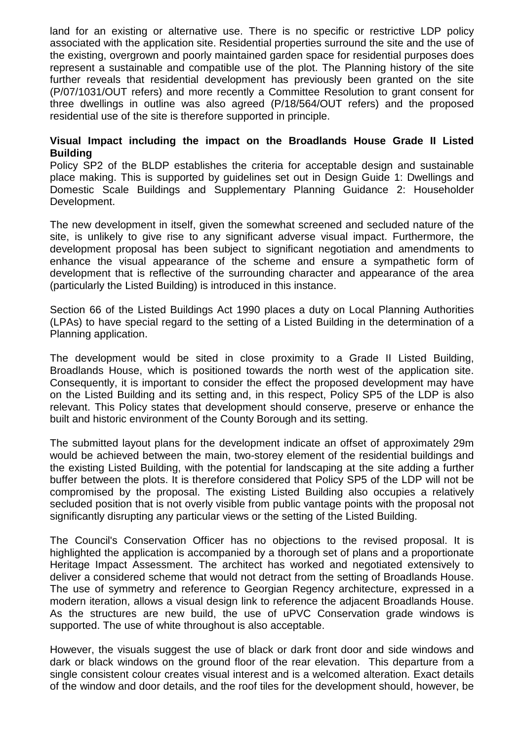land for an existing or alternative use. There is no specific or restrictive LDP policy associated with the application site. Residential properties surround the site and the use of the existing, overgrown and poorly maintained garden space for residential purposes does represent a sustainable and compatible use of the plot. The Planning history of the site further reveals that residential development has previously been granted on the site (P/07/1031/OUT refers) and more recently a Committee Resolution to grant consent for three dwellings in outline was also agreed (P/18/564/OUT refers) and the proposed residential use of the site is therefore supported in principle.

#### **Visual Impact including the impact on the Broadlands House Grade II Listed Building**

Policy SP2 of the BLDP establishes the criteria for acceptable design and sustainable place making. This is supported by guidelines set out in Design Guide 1: Dwellings and Domestic Scale Buildings and Supplementary Planning Guidance 2: Householder Development.

The new development in itself, given the somewhat screened and secluded nature of the site, is unlikely to give rise to any significant adverse visual impact. Furthermore, the development proposal has been subject to significant negotiation and amendments to enhance the visual appearance of the scheme and ensure a sympathetic form of development that is reflective of the surrounding character and appearance of the area (particularly the Listed Building) is introduced in this instance.

Section 66 of the Listed Buildings Act 1990 places a duty on Local Planning Authorities (LPAs) to have special regard to the setting of a Listed Building in the determination of a Planning application.

The development would be sited in close proximity to a Grade II Listed Building, Broadlands House, which is positioned towards the north west of the application site. Consequently, it is important to consider the effect the proposed development may have on the Listed Building and its setting and, in this respect, Policy SP5 of the LDP is also relevant. This Policy states that development should conserve, preserve or enhance the built and historic environment of the County Borough and its setting.

The submitted layout plans for the development indicate an offset of approximately 29m would be achieved between the main, two-storey element of the residential buildings and the existing Listed Building, with the potential for landscaping at the site adding a further buffer between the plots. It is therefore considered that Policy SP5 of the LDP will not be compromised by the proposal. The existing Listed Building also occupies a relatively secluded position that is not overly visible from public vantage points with the proposal not significantly disrupting any particular views or the setting of the Listed Building.

The Council's Conservation Officer has no objections to the revised proposal. It is highlighted the application is accompanied by a thorough set of plans and a proportionate Heritage Impact Assessment. The architect has worked and negotiated extensively to deliver a considered scheme that would not detract from the setting of Broadlands House. The use of symmetry and reference to Georgian Regency architecture, expressed in a modern iteration, allows a visual design link to reference the adjacent Broadlands House. As the structures are new build, the use of uPVC Conservation grade windows is supported. The use of white throughout is also acceptable.

However, the visuals suggest the use of black or dark front door and side windows and dark or black windows on the ground floor of the rear elevation. This departure from a single consistent colour creates visual interest and is a welcomed alteration. Exact details of the window and door details, and the roof tiles for the development should, however, be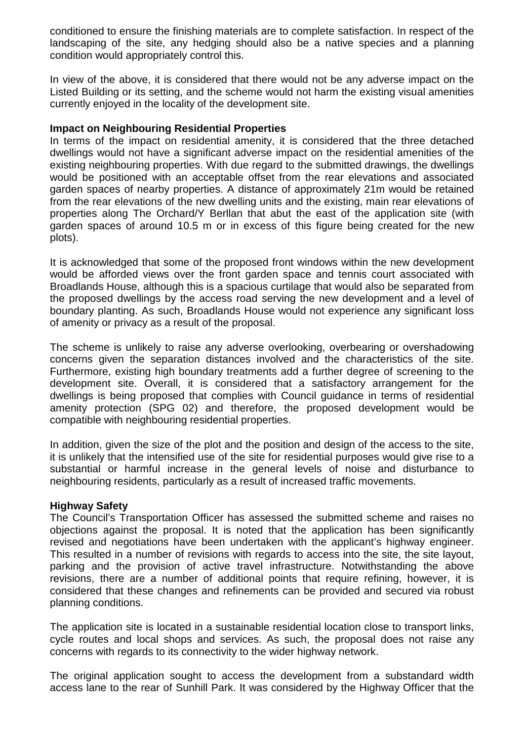conditioned to ensure the finishing materials are to complete satisfaction. In respect of the landscaping of the site, any hedging should also be a native species and a planning condition would appropriately control this.

In view of the above, it is considered that there would not be any adverse impact on the Listed Building or its setting, and the scheme would not harm the existing visual amenities currently enjoyed in the locality of the development site.

#### **Impact on Neighbouring Residential Properties**

In terms of the impact on residential amenity, it is considered that the three detached dwellings would not have a significant adverse impact on the residential amenities of the existing neighbouring properties. With due regard to the submitted drawings, the dwellings would be positioned with an acceptable offset from the rear elevations and associated garden spaces of nearby properties. A distance of approximately 21m would be retained from the rear elevations of the new dwelling units and the existing, main rear elevations of properties along The Orchard/Y Berllan that abut the east of the application site (with garden spaces of around 10.5 m or in excess of this figure being created for the new plots).

It is acknowledged that some of the proposed front windows within the new development would be afforded views over the front garden space and tennis court associated with Broadlands House, although this is a spacious curtilage that would also be separated from the proposed dwellings by the access road serving the new development and a level of boundary planting. As such, Broadlands House would not experience any significant loss of amenity or privacy as a result of the proposal.

The scheme is unlikely to raise any adverse overlooking, overbearing or overshadowing concerns given the separation distances involved and the characteristics of the site. Furthermore, existing high boundary treatments add a further degree of screening to the development site. Overall, it is considered that a satisfactory arrangement for the dwellings is being proposed that complies with Council guidance in terms of residential amenity protection (SPG 02) and therefore, the proposed development would be compatible with neighbouring residential properties.

In addition, given the size of the plot and the position and design of the access to the site, it is unlikely that the intensified use of the site for residential purposes would give rise to a substantial or harmful increase in the general levels of noise and disturbance to neighbouring residents, particularly as a result of increased traffic movements.

### **Highway Safety**

The Council's Transportation Officer has assessed the submitted scheme and raises no objections against the proposal. It is noted that the application has been significantly revised and negotiations have been undertaken with the applicant's highway engineer. This resulted in a number of revisions with regards to access into the site, the site layout, parking and the provision of active travel infrastructure. Notwithstanding the above revisions, there are a number of additional points that require refining, however, it is considered that these changes and refinements can be provided and secured via robust planning conditions.

The application site is located in a sustainable residential location close to transport links, cycle routes and local shops and services. As such, the proposal does not raise any concerns with regards to its connectivity to the wider highway network.

The original application sought to access the development from a substandard width access lane to the rear of Sunhill Park. It was considered by the Highway Officer that the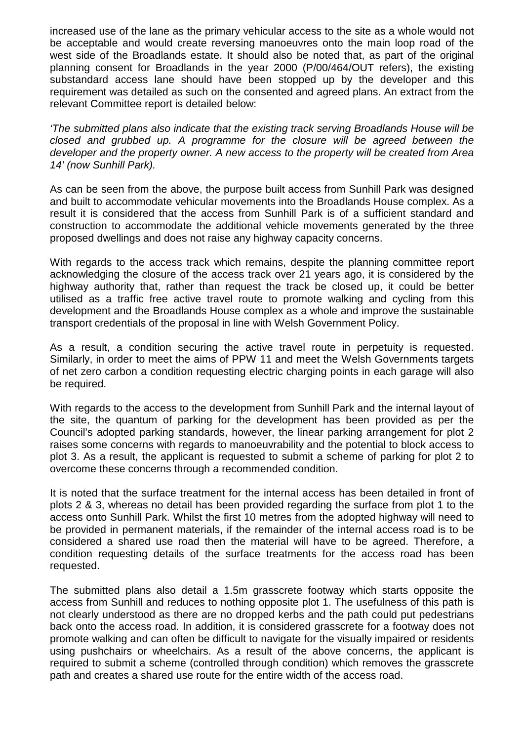increased use of the lane as the primary vehicular access to the site as a whole would not be acceptable and would create reversing manoeuvres onto the main loop road of the west side of the Broadlands estate. It should also be noted that, as part of the original planning consent for Broadlands in the year 2000 (P/00/464/OUT refers), the existing substandard access lane should have been stopped up by the developer and this requirement was detailed as such on the consented and agreed plans. An extract from the relevant Committee report is detailed below:

*'The submitted plans also indicate that the existing track serving Broadlands House will be closed and grubbed up. A programme for the closure will be agreed between the developer and the property owner. A new access to the property will be created from Area 14' (now Sunhill Park).*

As can be seen from the above, the purpose built access from Sunhill Park was designed and built to accommodate vehicular movements into the Broadlands House complex. As a result it is considered that the access from Sunhill Park is of a sufficient standard and construction to accommodate the additional vehicle movements generated by the three proposed dwellings and does not raise any highway capacity concerns.

With regards to the access track which remains, despite the planning committee report acknowledging the closure of the access track over 21 years ago, it is considered by the highway authority that, rather than request the track be closed up, it could be better utilised as a traffic free active travel route to promote walking and cycling from this development and the Broadlands House complex as a whole and improve the sustainable transport credentials of the proposal in line with Welsh Government Policy.

As a result, a condition securing the active travel route in perpetuity is requested. Similarly, in order to meet the aims of PPW 11 and meet the Welsh Governments targets of net zero carbon a condition requesting electric charging points in each garage will also be required.

With regards to the access to the development from Sunhill Park and the internal layout of the site, the quantum of parking for the development has been provided as per the Council's adopted parking standards, however, the linear parking arrangement for plot 2 raises some concerns with regards to manoeuvrability and the potential to block access to plot 3. As a result, the applicant is requested to submit a scheme of parking for plot 2 to overcome these concerns through a recommended condition.

It is noted that the surface treatment for the internal access has been detailed in front of plots 2 & 3, whereas no detail has been provided regarding the surface from plot 1 to the access onto Sunhill Park. Whilst the first 10 metres from the adopted highway will need to be provided in permanent materials, if the remainder of the internal access road is to be considered a shared use road then the material will have to be agreed. Therefore, a condition requesting details of the surface treatments for the access road has been requested.

The submitted plans also detail a 1.5m grasscrete footway which starts opposite the access from Sunhill and reduces to nothing opposite plot 1. The usefulness of this path is not clearly understood as there are no dropped kerbs and the path could put pedestrians back onto the access road. In addition, it is considered grasscrete for a footway does not promote walking and can often be difficult to navigate for the visually impaired or residents using pushchairs or wheelchairs. As a result of the above concerns, the applicant is required to submit a scheme (controlled through condition) which removes the grasscrete path and creates a shared use route for the entire width of the access road.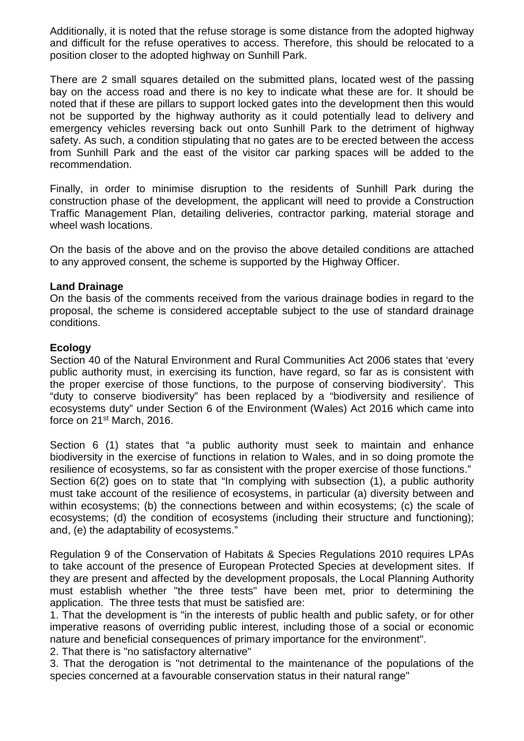Additionally, it is noted that the refuse storage is some distance from the adopted highway and difficult for the refuse operatives to access. Therefore, this should be relocated to a position closer to the adopted highway on Sunhill Park.

There are 2 small squares detailed on the submitted plans, located west of the passing bay on the access road and there is no key to indicate what these are for. It should be noted that if these are pillars to support locked gates into the development then this would not be supported by the highway authority as it could potentially lead to delivery and emergency vehicles reversing back out onto Sunhill Park to the detriment of highway safety. As such, a condition stipulating that no gates are to be erected between the access from Sunhill Park and the east of the visitor car parking spaces will be added to the recommendation.

Finally, in order to minimise disruption to the residents of Sunhill Park during the construction phase of the development, the applicant will need to provide a Construction Traffic Management Plan, detailing deliveries, contractor parking, material storage and wheel wash locations.

On the basis of the above and on the proviso the above detailed conditions are attached to any approved consent, the scheme is supported by the Highway Officer.

#### **Land Drainage**

On the basis of the comments received from the various drainage bodies in regard to the proposal, the scheme is considered acceptable subject to the use of standard drainage conditions.

#### **Ecology**

Section 40 of the Natural Environment and Rural Communities Act 2006 states that 'every public authority must, in exercising its function, have regard, so far as is consistent with the proper exercise of those functions, to the purpose of conserving biodiversity'. This "duty to conserve biodiversity" has been replaced by a "biodiversity and resilience of ecosystems duty" under Section 6 of the Environment (Wales) Act 2016 which came into force on 21st March, 2016.

Section 6 (1) states that "a public authority must seek to maintain and enhance biodiversity in the exercise of functions in relation to Wales, and in so doing promote the resilience of ecosystems, so far as consistent with the proper exercise of those functions." Section 6(2) goes on to state that "In complying with subsection (1), a public authority must take account of the resilience of ecosystems, in particular (a) diversity between and within ecosystems; (b) the connections between and within ecosystems; (c) the scale of ecosystems; (d) the condition of ecosystems (including their structure and functioning); and, (e) the adaptability of ecosystems."

Regulation 9 of the Conservation of Habitats & Species Regulations 2010 requires LPAs to take account of the presence of European Protected Species at development sites. If they are present and affected by the development proposals, the Local Planning Authority must establish whether "the three tests" have been met, prior to determining the application. The three tests that must be satisfied are:

1. That the development is "in the interests of public health and public safety, or for other imperative reasons of overriding public interest, including those of a social or economic nature and beneficial consequences of primary importance for the environment".

2. That there is "no satisfactory alternative"

3. That the derogation is "not detrimental to the maintenance of the populations of the species concerned at a favourable conservation status in their natural range"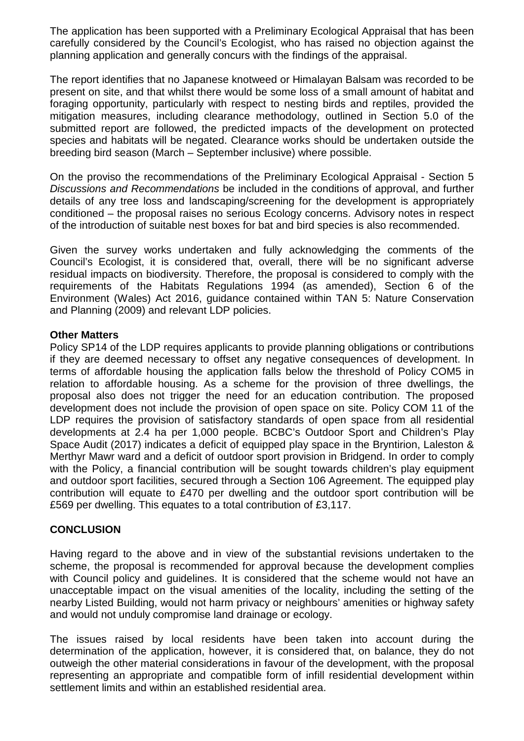The application has been supported with a Preliminary Ecological Appraisal that has been carefully considered by the Council's Ecologist, who has raised no objection against the planning application and generally concurs with the findings of the appraisal.

The report identifies that no Japanese knotweed or Himalayan Balsam was recorded to be present on site, and that whilst there would be some loss of a small amount of habitat and foraging opportunity, particularly with respect to nesting birds and reptiles, provided the mitigation measures, including clearance methodology, outlined in Section 5.0 of the submitted report are followed, the predicted impacts of the development on protected species and habitats will be negated. Clearance works should be undertaken outside the breeding bird season (March – September inclusive) where possible.

On the proviso the recommendations of the Preliminary Ecological Appraisal - Section 5 *Discussions and Recommendations* be included in the conditions of approval, and further details of any tree loss and landscaping/screening for the development is appropriately conditioned – the proposal raises no serious Ecology concerns. Advisory notes in respect of the introduction of suitable nest boxes for bat and bird species is also recommended.

Given the survey works undertaken and fully acknowledging the comments of the Council's Ecologist, it is considered that, overall, there will be no significant adverse residual impacts on biodiversity. Therefore, the proposal is considered to comply with the requirements of the Habitats Regulations 1994 (as amended), Section 6 of the Environment (Wales) Act 2016, guidance contained within TAN 5: Nature Conservation and Planning (2009) and relevant LDP policies.

#### **Other Matters**

Policy SP14 of the LDP requires applicants to provide planning obligations or contributions if they are deemed necessary to offset any negative consequences of development. In terms of affordable housing the application falls below the threshold of Policy COM5 in relation to affordable housing. As a scheme for the provision of three dwellings, the proposal also does not trigger the need for an education contribution. The proposed development does not include the provision of open space on site. Policy COM 11 of the LDP requires the provision of satisfactory standards of open space from all residential developments at 2.4 ha per 1,000 people. BCBC's Outdoor Sport and Children's Play Space Audit (2017) indicates a deficit of equipped play space in the Bryntirion, Laleston & Merthyr Mawr ward and a deficit of outdoor sport provision in Bridgend. In order to comply with the Policy, a financial contribution will be sought towards children's play equipment and outdoor sport facilities, secured through a Section 106 Agreement. The equipped play contribution will equate to £470 per dwelling and the outdoor sport contribution will be £569 per dwelling. This equates to a total contribution of £3,117.

### **CONCLUSION**

Having regard to the above and in view of the substantial revisions undertaken to the scheme, the proposal is recommended for approval because the development complies with Council policy and guidelines. It is considered that the scheme would not have an unacceptable impact on the visual amenities of the locality, including the setting of the nearby Listed Building, would not harm privacy or neighbours' amenities or highway safety and would not unduly compromise land drainage or ecology.

The issues raised by local residents have been taken into account during the determination of the application, however, it is considered that, on balance, they do not outweigh the other material considerations in favour of the development, with the proposal representing an appropriate and compatible form of infill residential development within settlement limits and within an established residential area.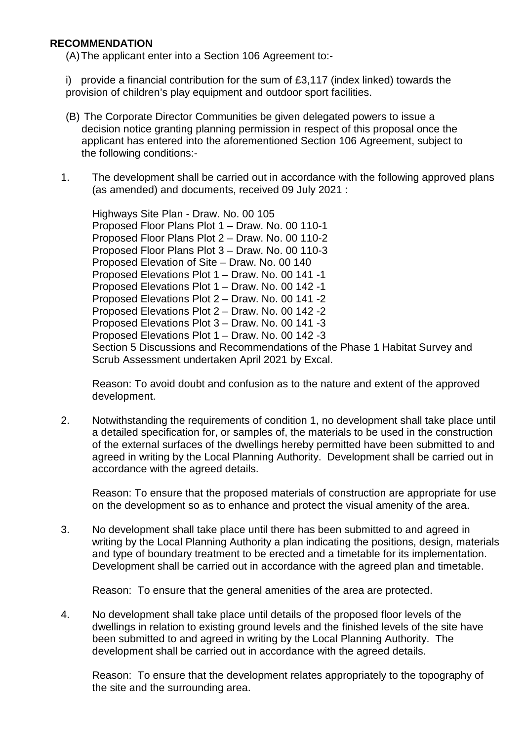### **RECOMMENDATION**

(A) The applicant enter into a Section 106 Agreement to:-

i) provide a financial contribution for the sum of £3,117 (index linked) towards the provision of children's play equipment and outdoor sport facilities.

- (B) The Corporate Director Communities be given delegated powers to issue a decision notice granting planning permission in respect of this proposal once the applicant has entered into the aforementioned Section 106 Agreement, subject to the following conditions:-
- 1. The development shall be carried out in accordance with the following approved plans (as amended) and documents, received 09 July 2021 :

Highways Site Plan - Draw. No. 00 105 Proposed Floor Plans Plot 1 – Draw. No. 00 110-1 Proposed Floor Plans Plot 2 – Draw. No. 00 110-2 Proposed Floor Plans Plot 3 – Draw. No. 00 110-3 Proposed Elevation of Site – Draw. No. 00 140 Proposed Elevations Plot 1 – Draw. No. 00 141 -1 Proposed Elevations Plot 1 – Draw. No. 00 142 -1 Proposed Elevations Plot 2 – Draw. No. 00 141 -2 Proposed Elevations Plot 2 – Draw. No. 00 142 -2 Proposed Elevations Plot 3 – Draw. No. 00 141 -3 Proposed Elevations Plot 1 – Draw. No. 00 142 -3 Section 5 Discussions and Recommendations of the Phase 1 Habitat Survey and Scrub Assessment undertaken April 2021 by Excal.

Reason: To avoid doubt and confusion as to the nature and extent of the approved development.

2. Notwithstanding the requirements of condition 1, no development shall take place until a detailed specification for, or samples of, the materials to be used in the construction of the external surfaces of the dwellings hereby permitted have been submitted to and agreed in writing by the Local Planning Authority. Development shall be carried out in accordance with the agreed details.

Reason: To ensure that the proposed materials of construction are appropriate for use on the development so as to enhance and protect the visual amenity of the area.

3. No development shall take place until there has been submitted to and agreed in writing by the Local Planning Authority a plan indicating the positions, design, materials and type of boundary treatment to be erected and a timetable for its implementation. Development shall be carried out in accordance with the agreed plan and timetable.

Reason: To ensure that the general amenities of the area are protected.

4. No development shall take place until details of the proposed floor levels of the dwellings in relation to existing ground levels and the finished levels of the site have been submitted to and agreed in writing by the Local Planning Authority. The development shall be carried out in accordance with the agreed details.

Reason: To ensure that the development relates appropriately to the topography of the site and the surrounding area.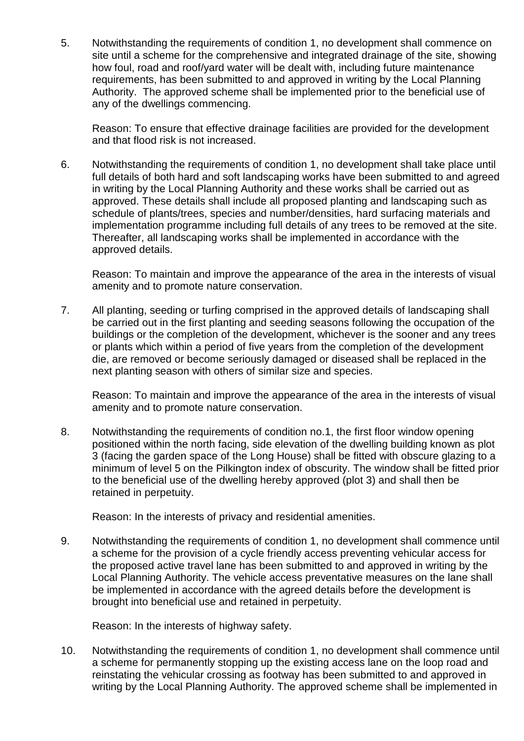5. Notwithstanding the requirements of condition 1, no development shall commence on site until a scheme for the comprehensive and integrated drainage of the site, showing how foul, road and roof/yard water will be dealt with, including future maintenance requirements, has been submitted to and approved in writing by the Local Planning Authority. The approved scheme shall be implemented prior to the beneficial use of any of the dwellings commencing.

Reason: To ensure that effective drainage facilities are provided for the development and that flood risk is not increased.

6. Notwithstanding the requirements of condition 1, no development shall take place until full details of both hard and soft landscaping works have been submitted to and agreed in writing by the Local Planning Authority and these works shall be carried out as approved. These details shall include all proposed planting and landscaping such as schedule of plants/trees, species and number/densities, hard surfacing materials and implementation programme including full details of any trees to be removed at the site. Thereafter, all landscaping works shall be implemented in accordance with the approved details.

Reason: To maintain and improve the appearance of the area in the interests of visual amenity and to promote nature conservation.

7. All planting, seeding or turfing comprised in the approved details of landscaping shall be carried out in the first planting and seeding seasons following the occupation of the buildings or the completion of the development, whichever is the sooner and any trees or plants which within a period of five years from the completion of the development die, are removed or become seriously damaged or diseased shall be replaced in the next planting season with others of similar size and species.

Reason: To maintain and improve the appearance of the area in the interests of visual amenity and to promote nature conservation.

8. Notwithstanding the requirements of condition no.1, the first floor window opening positioned within the north facing, side elevation of the dwelling building known as plot 3 (facing the garden space of the Long House) shall be fitted with obscure glazing to a minimum of level 5 on the Pilkington index of obscurity. The window shall be fitted prior to the beneficial use of the dwelling hereby approved (plot 3) and shall then be retained in perpetuity.

Reason: In the interests of privacy and residential amenities.

9. Notwithstanding the requirements of condition 1, no development shall commence until a scheme for the provision of a cycle friendly access preventing vehicular access for the proposed active travel lane has been submitted to and approved in writing by the Local Planning Authority. The vehicle access preventative measures on the lane shall be implemented in accordance with the agreed details before the development is brought into beneficial use and retained in perpetuity.

Reason: In the interests of highway safety.

10. Notwithstanding the requirements of condition 1, no development shall commence until a scheme for permanently stopping up the existing access lane on the loop road and reinstating the vehicular crossing as footway has been submitted to and approved in writing by the Local Planning Authority. The approved scheme shall be implemented in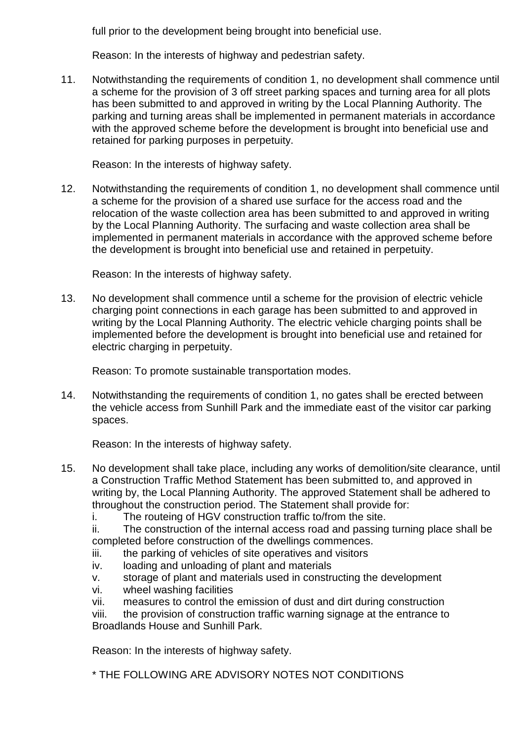full prior to the development being brought into beneficial use.

Reason: In the interests of highway and pedestrian safety.

11. Notwithstanding the requirements of condition 1, no development shall commence until a scheme for the provision of 3 off street parking spaces and turning area for all plots has been submitted to and approved in writing by the Local Planning Authority. The parking and turning areas shall be implemented in permanent materials in accordance with the approved scheme before the development is brought into beneficial use and retained for parking purposes in perpetuity.

Reason: In the interests of highway safety.

12. Notwithstanding the requirements of condition 1, no development shall commence until a scheme for the provision of a shared use surface for the access road and the relocation of the waste collection area has been submitted to and approved in writing by the Local Planning Authority. The surfacing and waste collection area shall be implemented in permanent materials in accordance with the approved scheme before the development is brought into beneficial use and retained in perpetuity.

Reason: In the interests of highway safety.

13. No development shall commence until a scheme for the provision of electric vehicle charging point connections in each garage has been submitted to and approved in writing by the Local Planning Authority. The electric vehicle charging points shall be implemented before the development is brought into beneficial use and retained for electric charging in perpetuity.

Reason: To promote sustainable transportation modes.

14. Notwithstanding the requirements of condition 1, no gates shall be erected between the vehicle access from Sunhill Park and the immediate east of the visitor car parking spaces.

Reason: In the interests of highway safety.

- 15. No development shall take place, including any works of demolition/site clearance, until a Construction Traffic Method Statement has been submitted to, and approved in writing by, the Local Planning Authority. The approved Statement shall be adhered to throughout the construction period. The Statement shall provide for:
	- i. The routeing of HGV construction traffic to/from the site.

ii. The construction of the internal access road and passing turning place shall be completed before construction of the dwellings commences.

- iii. the parking of vehicles of site operatives and visitors
- iv. loading and unloading of plant and materials
- v. storage of plant and materials used in constructing the development
- vi. wheel washing facilities
- vii. measures to control the emission of dust and dirt during construction

viii. the provision of construction traffic warning signage at the entrance to Broadlands House and Sunhill Park.

Reason: In the interests of highway safety.

\* THE FOLLOWING ARE ADVISORY NOTES NOT CONDITIONS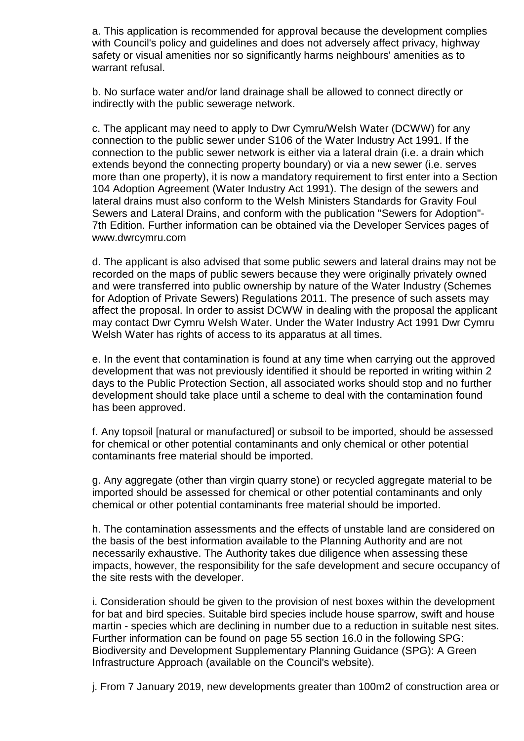a. This application is recommended for approval because the development complies with Council's policy and guidelines and does not adversely affect privacy, highway safety or visual amenities nor so significantly harms neighbours' amenities as to warrant refusal.

b. No surface water and/or land drainage shall be allowed to connect directly or indirectly with the public sewerage network.

c. The applicant may need to apply to Dwr Cymru/Welsh Water (DCWW) for any connection to the public sewer under S106 of the Water Industry Act 1991. If the connection to the public sewer network is either via a lateral drain (i.e. a drain which extends beyond the connecting property boundary) or via a new sewer (i.e. serves more than one property), it is now a mandatory requirement to first enter into a Section 104 Adoption Agreement (Water Industry Act 1991). The design of the sewers and lateral drains must also conform to the Welsh Ministers Standards for Gravity Foul Sewers and Lateral Drains, and conform with the publication "Sewers for Adoption"- 7th Edition. Further information can be obtained via the Developer Services pages of www.dwrcymru.com

d. The applicant is also advised that some public sewers and lateral drains may not be recorded on the maps of public sewers because they were originally privately owned and were transferred into public ownership by nature of the Water Industry (Schemes for Adoption of Private Sewers) Regulations 2011. The presence of such assets may affect the proposal. In order to assist DCWW in dealing with the proposal the applicant may contact Dwr Cymru Welsh Water. Under the Water Industry Act 1991 Dwr Cymru Welsh Water has rights of access to its apparatus at all times.

e. In the event that contamination is found at any time when carrying out the approved development that was not previously identified it should be reported in writing within 2 days to the Public Protection Section, all associated works should stop and no further development should take place until a scheme to deal with the contamination found has been approved.

f. Any topsoil [natural or manufactured] or subsoil to be imported, should be assessed for chemical or other potential contaminants and only chemical or other potential contaminants free material should be imported.

g. Any aggregate (other than virgin quarry stone) or recycled aggregate material to be imported should be assessed for chemical or other potential contaminants and only chemical or other potential contaminants free material should be imported.

h. The contamination assessments and the effects of unstable land are considered on the basis of the best information available to the Planning Authority and are not necessarily exhaustive. The Authority takes due diligence when assessing these impacts, however, the responsibility for the safe development and secure occupancy of the site rests with the developer.

i. Consideration should be given to the provision of nest boxes within the development for bat and bird species. Suitable bird species include house sparrow, swift and house martin - species which are declining in number due to a reduction in suitable nest sites. Further information can be found on page 55 section 16.0 in the following SPG: Biodiversity and Development Supplementary Planning Guidance (SPG): A Green Infrastructure Approach (available on the Council's website).

j. From 7 January 2019, new developments greater than 100m2 of construction area or